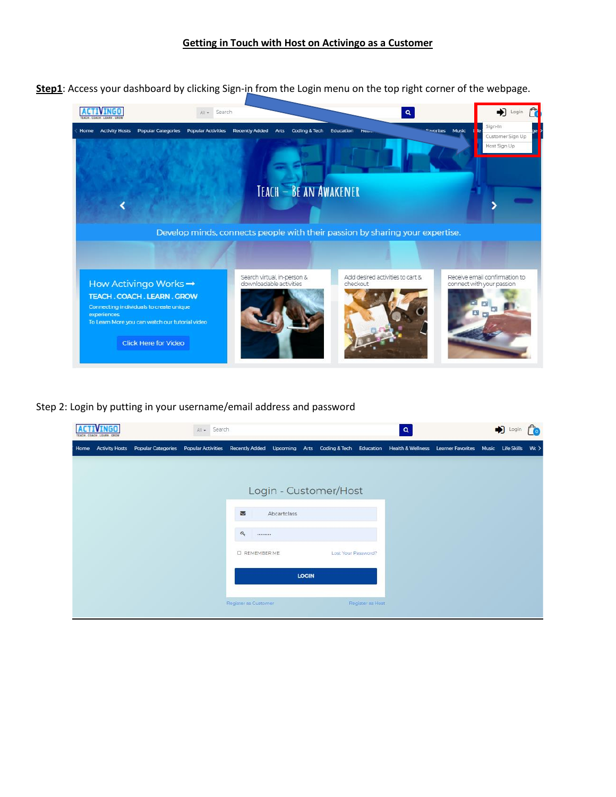Step1: Access your dashboard by clicking Sign-in from the Login menu on the top right corner of the webpage.



Step 2: Login by putting in your username/email address and password

|      | <b><i>IFARM GROW</i></b> |                                                                                                                                                                      | All - Search |                      |             |              |                       |                  | $\alpha$ |  | $\bigoplus$ Login $\bigcap$ |  |
|------|--------------------------|----------------------------------------------------------------------------------------------------------------------------------------------------------------------|--------------|----------------------|-------------|--------------|-----------------------|------------------|----------|--|-----------------------------|--|
| Home |                          | Activity Hosts Popular Categories Popular Activities Recently Added Upcoming Arts Coding & Tech Education Health & Wellness Learner Favorites Music Life Skills Wt > |              |                      |             |              |                       |                  |          |  |                             |  |
|      |                          |                                                                                                                                                                      |              |                      |             |              |                       |                  |          |  |                             |  |
|      |                          |                                                                                                                                                                      |              |                      |             |              | Login - Customer/Host |                  |          |  |                             |  |
|      |                          |                                                                                                                                                                      |              | 冒                    | Abcartclass |              |                       |                  |          |  |                             |  |
|      |                          |                                                                                                                                                                      |              | $a_{\rm e}$<br>      |             |              |                       |                  |          |  |                             |  |
|      |                          |                                                                                                                                                                      |              | <b>O REMEMBER ME</b> |             |              | Lost Your Password?   |                  |          |  |                             |  |
|      |                          |                                                                                                                                                                      |              |                      |             | <b>LOGIN</b> |                       |                  |          |  |                             |  |
|      |                          |                                                                                                                                                                      |              | Register as Customer |             |              |                       | Register as Host |          |  |                             |  |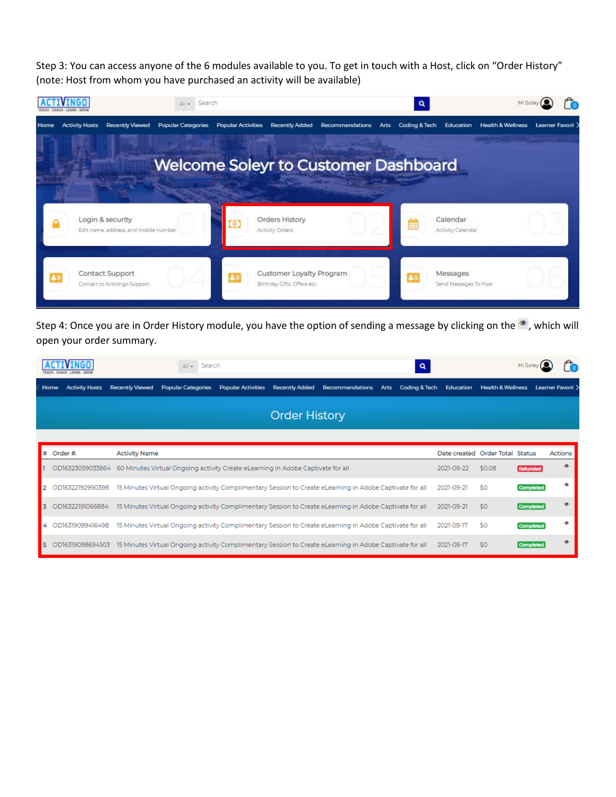Step 3: You can access anyone of the 6 modules available to you. To get in touch with a Host, click on "Order History" (note: Host from whom you have purchased an activity will be available)

|      |                       |                                                           | Search<br>All -                             |                           |                                                         |                 |                       | Q |                                   | Hi Soley                            |  |
|------|-----------------------|-----------------------------------------------------------|---------------------------------------------|---------------------------|---------------------------------------------------------|-----------------|-----------------------|---|-----------------------------------|-------------------------------------|--|
| Home | <b>Activity Hosts</b> | <b>Recently Viewed</b>                                    | <b>Popular Categories</b>                   | <b>Popular Activities</b> | <b>Recently Added</b>                                   | Recommendations | Coding & Tech<br>Arts |   | Education                         | Health & Wellness Learner Favorit > |  |
|      |                       |                                                           | <b>Welcome Soleyr to Customer Dashboard</b> |                           |                                                         |                 |                       |   |                                   |                                     |  |
|      |                       | Login & security<br>Edit name, address, and mobile number |                                             |                           | Orders History<br>Activity Orders                       |                 |                       |   | Calendar<br>Activity Calendar     |                                     |  |
|      |                       | <b>Contact Support</b><br>Contact to Activingo Support    |                                             | Æ                         | Customer Loyalty Program<br>Birthday Gifts, Offers etc. |                 |                       |   | Messages<br>Send Messages To Host |                                     |  |

Step 4: Once you are in Order History module, you have the option of sending a message by clicking on the  $\bullet$ , which will open your order summary.

|               |                               | Search<br>Q<br>$All -$                                                                                                                                |                          |                              |                  |                   |
|---------------|-------------------------------|-------------------------------------------------------------------------------------------------------------------------------------------------------|--------------------------|------------------------------|------------------|-------------------|
|               | Home<br><b>Activity Hosts</b> | <b>Recently Viewed</b><br><b>Popular Categories</b><br><b>Popular Activities</b><br>Coding & Tech<br><b>Recently Added</b><br>Recommendations<br>Arts | Education                | <b>Health &amp; Wellness</b> |                  | Learner Favorit > |
|               |                               | <b>Order History</b>                                                                                                                                  |                          |                              |                  |                   |
|               | # Order #.                    | <b>Activity Name</b>                                                                                                                                  | Date created Order Total |                              | <b>Status</b>    | Actions           |
|               | OD16323059033864              | 60 Minutes Virtual Ongoing activity Create eLearning in Adobe Captivate for all                                                                       | 2021-09-22               | \$0.08                       | Refunded         | ۰                 |
| 12            | OD16322192990398              | 15 Minutes Virtual Ongoing activity Complimentary Session to Create eLearning in Adobe Captivate for all                                              | 2021-09-21               | \$0                          | Completed        |                   |
| 13            | OD16322191066884              | 15 Minutes Virtual Ongoing activity Complimentary Session to Create eLearning in Adobe Captivate for all                                              | 2021-09-21               | \$0                          | <b>Completed</b> | œ.                |
| $\frac{1}{4}$ | OD16319099416498              | 15 Minutes Virtual Ongoing activity Complimentary Session to Create eLearning in Adobe Captivate for all                                              | 2021-09-17               | \$0                          | Completed        |                   |
| <b>S</b>      | OD16319098694503              | 15 Minutes Virtual Ongoing activity Complimentary Session to Create eLearning in Adobe Captivate for all                                              | 2021-09-17               | \$0                          | <b>Completed</b> |                   |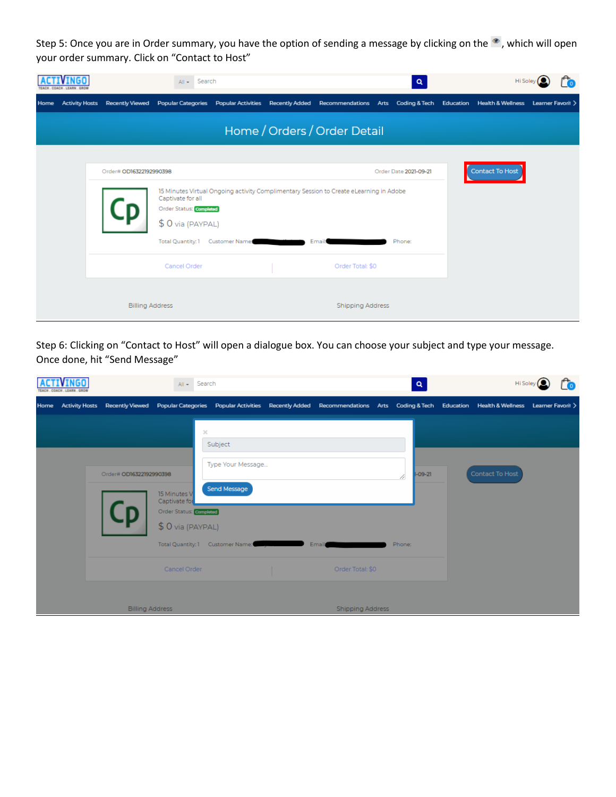Step 5: Once you are in Order summary, you have the option of sending a message by clicking on the . which will open your order summary. Click on "Contact to Host"

|      |                       |                         | Search<br>$All -$                             |                                   |                                                                                        | $\alpha$              |                 |                   |  |
|------|-----------------------|-------------------------|-----------------------------------------------|-----------------------------------|----------------------------------------------------------------------------------------|-----------------------|-----------------|-------------------|--|
| Home | <b>Activity Hosts</b> | <b>Recently Viewed</b>  | <b>Popular Categories</b>                     | Popular Activities Recently Added | Recommendations Arts Coding & Tech Education Health & Wellness                         |                       |                 | Learner Favorit > |  |
|      |                       |                         |                                               |                                   | Home / Orders / Order Detail                                                           |                       |                 |                   |  |
|      |                       | Order# OD16322192990398 |                                               |                                   |                                                                                        | Order Date 2021-09-21 | Contact To Host |                   |  |
|      |                       |                         | Captivate for all<br>Order Status: Completed  |                                   | 15 Minutes Virtual Ongoing activity Complimentary Session to Create eLearning in Adobe |                       |                 |                   |  |
|      |                       |                         | \$ 0 via (PAYPAL)<br><b>Total Quantity: 1</b> | Customer Name:                    | <b>Email:</b>                                                                          | Phone:                |                 |                   |  |
|      |                       |                         | Cancel Order                                  |                                   | Order Total: \$0                                                                       |                       |                 |                   |  |
|      |                       |                         | <b>Billing Address</b>                        |                                   | <b>Shipping Address</b>                                                                |                       |                 |                   |  |

Step 6: Clicking on "Contact to Host" will open a dialogue box. You can choose your subject and type your message. Once done, hit "Send Message"

|      |                                       | Search<br>$All -$                                        |                   |                                                                                                                                       |        | Q             | Hi Sole         |  |
|------|---------------------------------------|----------------------------------------------------------|-------------------|---------------------------------------------------------------------------------------------------------------------------------------|--------|---------------|-----------------|--|
| Home | <b>Activity Hosts</b> Recently Viewed |                                                          |                   | Popular Categories Popular Activities Recently Added Recommendations Arts Coding & Tech Education Health & Wellness Learner Favoril > |        |               |                 |  |
|      |                                       | ×                                                        | Subject           |                                                                                                                                       |        |               |                 |  |
|      | Order# OD16322192990398               |                                                          | Type Your Message |                                                                                                                                       |        | $-09-21$<br>4 | Contact To Host |  |
|      |                                       | 15 Minutes V<br>Captivate for<br>Order Status: Completed | Send Message      |                                                                                                                                       |        |               |                 |  |
|      |                                       | \$ 0 via (PAYPAL)<br>Total Quantity: 1 Customer Name:    |                   | Email                                                                                                                                 | Phone: |               |                 |  |
|      |                                       | Cancel Order                                             |                   | Order Total: \$0                                                                                                                      |        |               |                 |  |
|      | <b>Billing Address</b>                |                                                          |                   | <b>Shipping Address</b>                                                                                                               |        |               |                 |  |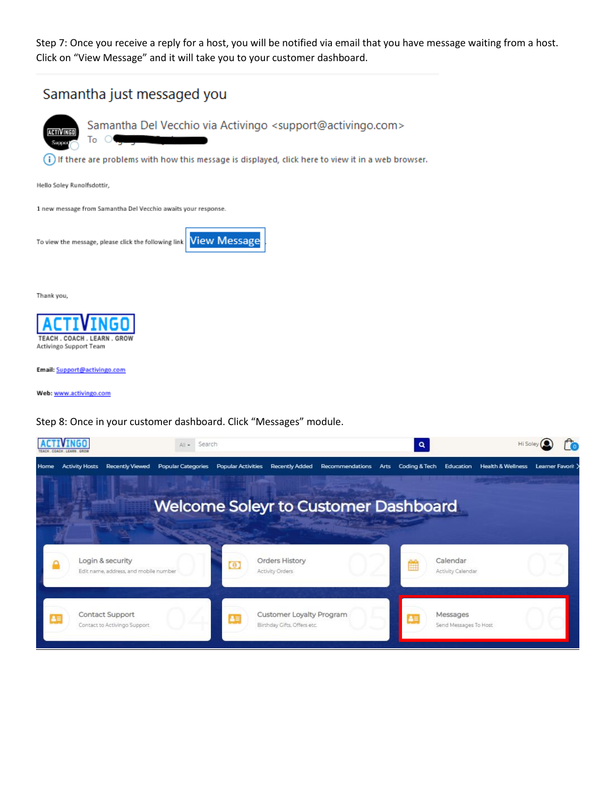Step 7: Once you receive a reply for a host, you will be notified via email that you have message waiting from a host. Click on "View Message" and it will take you to your customer dashboard.



Customer Loyalty Program

Birthday Gifts, Offers etc.

83

Messages

Send Messages To Host

Contact Support

Contact to Activingo Support

 $2 =$